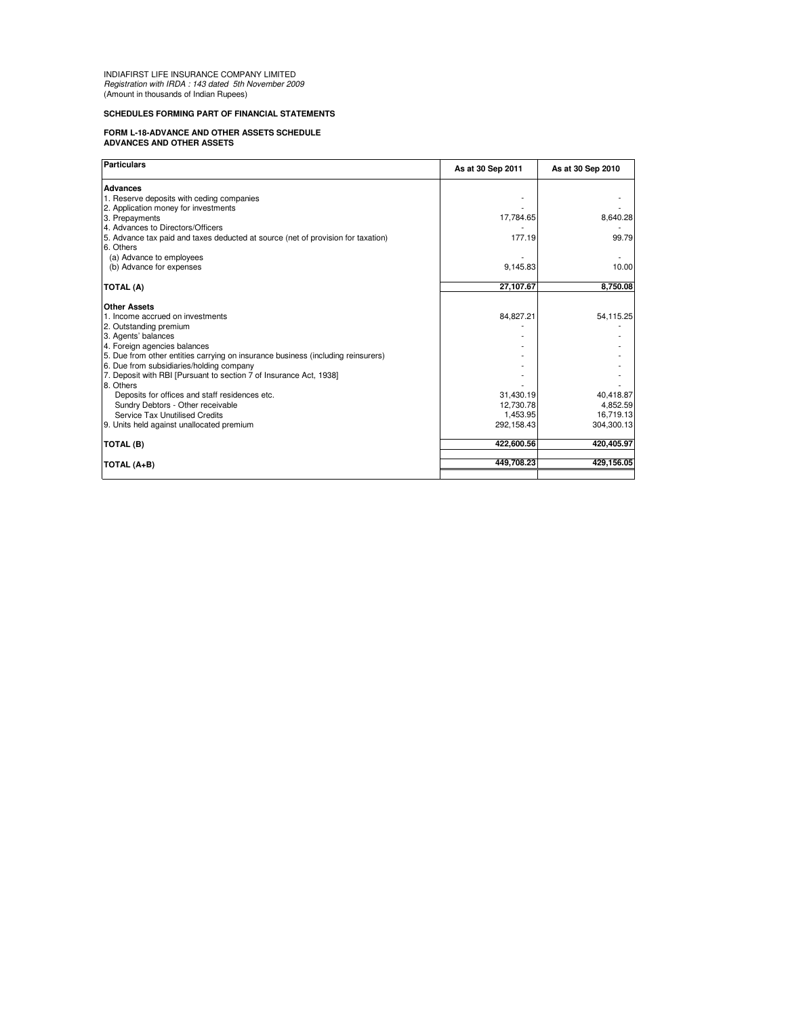INDIAFIRST LIFE INSURANCE COMPANY LIMITED Registration with IRDA : 143 dated 5th November 2009 (Amount in thousands of Indian Rupees)

## **SCHEDULES FORMING PART OF FINANCIAL STATEMENTS**

## **FORM L-18-ADVANCE AND OTHER ASSETS SCHEDULE ADVANCES AND OTHER ASSETS**

| Particulars                                                                      | As at 30 Sep 2011 | As at 30 Sep 2010 |
|----------------------------------------------------------------------------------|-------------------|-------------------|
| <b>Advances</b>                                                                  |                   |                   |
| 1. Reserve deposits with ceding companies                                        |                   |                   |
| 2. Application money for investments                                             |                   |                   |
| 3. Prepayments                                                                   | 17,784.65         | 8,640.28          |
| 4. Advances to Directors/Officers                                                |                   |                   |
| 5. Advance tax paid and taxes deducted at source (net of provision for taxation) | 177.19            | 99.79             |
| 6. Others                                                                        |                   |                   |
| (a) Advance to employees                                                         |                   |                   |
| (b) Advance for expenses                                                         | 9,145.83          | 10.00             |
| <b>TOTAL (A)</b>                                                                 | 27,107.67         | 8,750.08          |
| <b>Other Assets</b>                                                              |                   |                   |
| 1. Income accrued on investments                                                 | 84,827.21         | 54,115.25         |
| 2. Outstanding premium                                                           |                   |                   |
| 3. Agents' balances                                                              |                   |                   |
| 4. Foreign agencies balances                                                     |                   |                   |
| 5. Due from other entities carrying on insurance business (including reinsurers) |                   |                   |
| 6. Due from subsidiaries/holding company                                         |                   |                   |
| 7. Deposit with RBI [Pursuant to section 7 of Insurance Act, 1938]               |                   |                   |
| 8. Others                                                                        |                   |                   |
| Deposits for offices and staff residences etc.                                   | 31,430.19         | 40,418.87         |
| Sundry Debtors - Other receivable                                                | 12,730.78         | 4,852.59          |
| Service Tax Unutilised Credits                                                   | 1,453.95          | 16,719.13         |
| 9. Units held against unallocated premium                                        | 292,158.43        | 304,300.13        |
| <b>TOTAL (B)</b>                                                                 | 422,600.56        | 420,405.97        |
| TOTAL (A+B)                                                                      | 449.708.23        | 429.156.05        |
|                                                                                  |                   |                   |